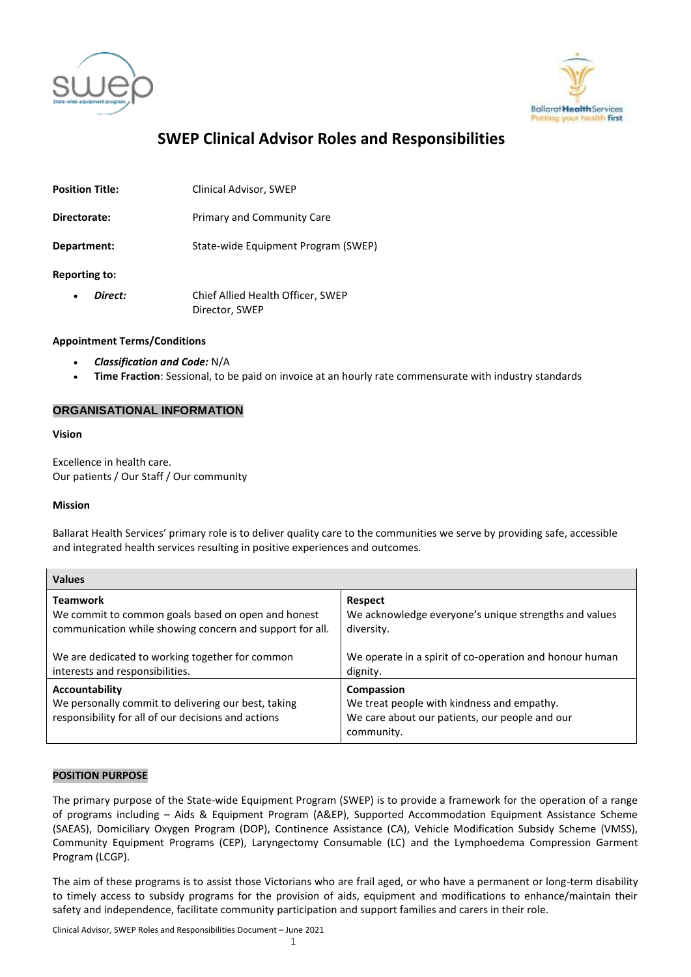



# **SWEP Clinical Advisor Roles and Responsibilities**

**Position Title:** Clinical Advisor, SWEP

**Directorate:** Primary and Community Care

**Department:** State-wide Equipment Program (SWEP)

**Reporting to:**

 *Direct:* Chief Allied Health Officer, SWEP Director, SWEP

# **Appointment Terms/Conditions**

- *Classification and Code:* N/A
- **Time Fraction**: Sessional, to be paid on invoice at an hourly rate commensurate with industry standards

# **ORGANISATIONAL INFORMATION**

#### **Vision**

Excellence in health care. Our patients / Our Staff / Our community

# **Mission**

Ballarat Health Services' primary role is to deliver quality care to the communities we serve by providing safe, accessible and integrated health services resulting in positive experiences and outcomes.

| <b>Values</b>                                                                                                                |                                                                                                                          |
|------------------------------------------------------------------------------------------------------------------------------|--------------------------------------------------------------------------------------------------------------------------|
| <b>Teamwork</b>                                                                                                              | <b>Respect</b>                                                                                                           |
| We commit to common goals based on open and honest                                                                           | We acknowledge everyone's unique strengths and values                                                                    |
| communication while showing concern and support for all.                                                                     | diversity.                                                                                                               |
| We are dedicated to working together for common                                                                              | We operate in a spirit of co-operation and honour human                                                                  |
| interests and responsibilities.                                                                                              | dignity.                                                                                                                 |
| Accountability<br>We personally commit to delivering our best, taking<br>responsibility for all of our decisions and actions | Compassion<br>We treat people with kindness and empathy.<br>We care about our patients, our people and our<br>community. |

# **POSITION PURPOSE**

The primary purpose of the State-wide Equipment Program (SWEP) is to provide a framework for the operation of a range of programs including – Aids & Equipment Program (A&EP), Supported Accommodation Equipment Assistance Scheme (SAEAS), Domiciliary Oxygen Program (DOP), Continence Assistance (CA), Vehicle Modification Subsidy Scheme (VMSS), Community Equipment Programs (CEP), Laryngectomy Consumable (LC) and the Lymphoedema Compression Garment Program (LCGP).

The aim of these programs is to assist those Victorians who are frail aged, or who have a permanent or long-term disability to timely access to subsidy programs for the provision of aids, equipment and modifications to enhance/maintain their safety and independence, facilitate community participation and support families and carers in their role.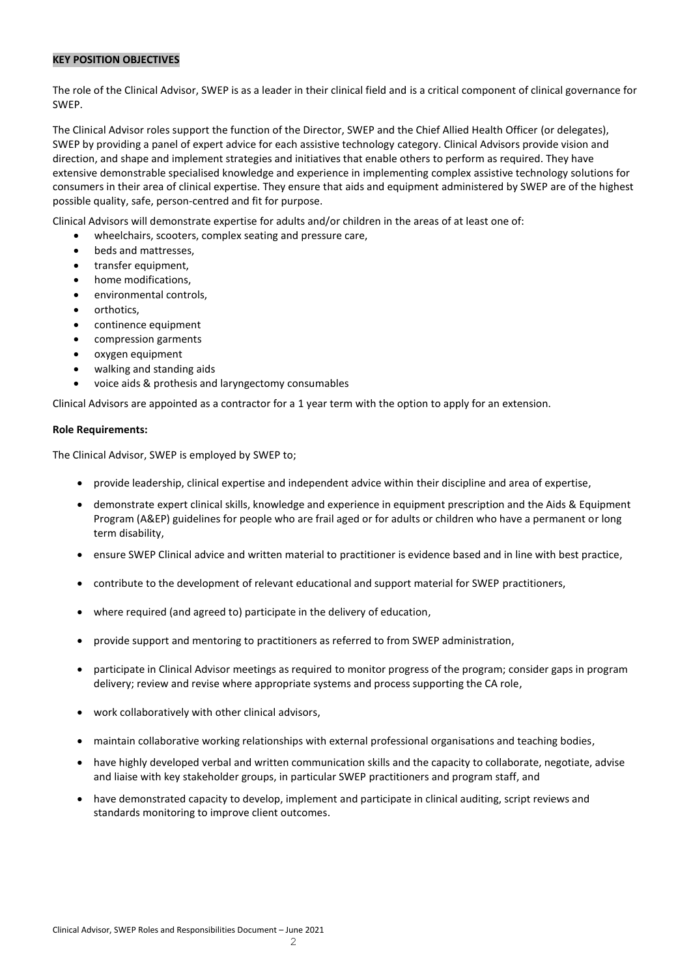#### **KEY POSITION OBJECTIVES**

The role of the Clinical Advisor, SWEP is as a leader in their clinical field and is a critical component of clinical governance for SWEP.

The Clinical Advisor roles support the function of the Director, SWEP and the Chief Allied Health Officer (or delegates), SWEP by providing a panel of expert advice for each assistive technology category. Clinical Advisors provide vision and direction, and shape and implement strategies and initiatives that enable others to perform as required. They have extensive demonstrable specialised knowledge and experience in implementing complex assistive technology solutions for consumers in their area of clinical expertise. They ensure that aids and equipment administered by SWEP are of the highest possible quality, safe, person-centred and fit for purpose.

Clinical Advisors will demonstrate expertise for adults and/or children in the areas of at least one of:

- wheelchairs, scooters, complex seating and pressure care,
- beds and mattresses.
- transfer equipment,
- home modifications,
- environmental controls,
- orthotics,
- continence equipment
- compression garments
- oxygen equipment
- walking and standing aids
- voice aids & prothesis and laryngectomy consumables

Clinical Advisors are appointed as a contractor for a 1 year term with the option to apply for an extension.

#### **Role Requirements:**

The Clinical Advisor, SWEP is employed by SWEP to;

- provide leadership, clinical expertise and independent advice within their discipline and area of expertise,
- demonstrate expert clinical skills, knowledge and experience in equipment prescription and the Aids & Equipment Program (A&EP) guidelines for people who are frail aged or for adults or children who have a permanent or long term disability,
- ensure SWEP Clinical advice and written material to practitioner is evidence based and in line with best practice,
- contribute to the development of relevant educational and support material for SWEP practitioners,
- where required (and agreed to) participate in the delivery of education,
- provide support and mentoring to practitioners as referred to from SWEP administration,
- participate in Clinical Advisor meetings as required to monitor progress of the program; consider gaps in program delivery; review and revise where appropriate systems and process supporting the CA role,
- work collaboratively with other clinical advisors,
- maintain collaborative working relationships with external professional organisations and teaching bodies,
- have highly developed verbal and written communication skills and the capacity to collaborate, negotiate, advise and liaise with key stakeholder groups, in particular SWEP practitioners and program staff, and
- have demonstrated capacity to develop, implement and participate in clinical auditing, script reviews and standards monitoring to improve client outcomes.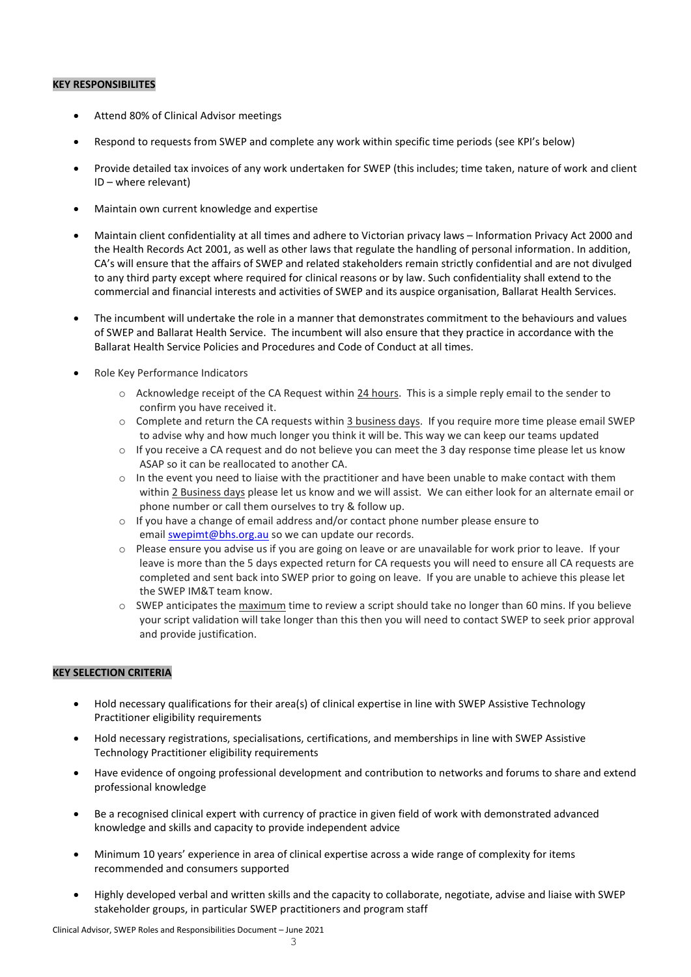# **KEY RESPONSIBILITES**

- Attend 80% of Clinical Advisor meetings
- Respond to requests from SWEP and complete any work within specific time periods (see KPI's below)
- Provide detailed tax invoices of any work undertaken for SWEP (this includes; time taken, nature of work and client ID – where relevant)
- Maintain own current knowledge and expertise
- Maintain client confidentiality at all times and adhere to Victorian privacy laws Information Privacy Act 2000 and the Health Records Act 2001, as well as other laws that regulate the handling of personal information. In addition, CA's will ensure that the affairs of SWEP and related stakeholders remain strictly confidential and are not divulged to any third party except where required for clinical reasons or by law. Such confidentiality shall extend to the commercial and financial interests and activities of SWEP and its auspice organisation, Ballarat Health Services.
- The incumbent will undertake the role in a manner that demonstrates commitment to the behaviours and values of SWEP and Ballarat Health Service. The incumbent will also ensure that they practice in accordance with the Ballarat Health Service Policies and Procedures and Code of Conduct at all times.
- Role Key Performance Indicators
	- o Acknowledge receipt of the CA Request within 24 hours. This is a simple reply email to the sender to confirm you have received it.
	- o Complete and return the CA requests within 3 business days. If you require more time please email SWEP to advise why and how much longer you think it will be. This way we can keep our teams updated
	- $\circ$  If you receive a CA request and do not believe you can meet the 3 day response time please let us know ASAP so it can be reallocated to another CA.
	- $\circ$  In the event you need to liaise with the practitioner and have been unable to make contact with them within 2 Business days please let us know and we will assist. We can either look for an alternate email or phone number or call them ourselves to try & follow up.
	- $\circ$  If you have a change of email address and/or contact phone number please ensure to email [swepimt@bhs.org.au](mailto:swepimt@bhs.org.au) so we can update our records.
	- o Please ensure you advise us if you are going on leave or are unavailable for work prior to leave. If your leave is more than the 5 days expected return for CA requests you will need to ensure all CA requests are completed and sent back into SWEP prior to going on leave. If you are unable to achieve this please let the SWEP IM&T team know.
	- $\circ$  SWEP anticipates the maximum time to review a script should take no longer than 60 mins. If you believe your script validation will take longer than this then you will need to contact SWEP to seek prior approval and provide justification.

# **KEY SELECTION CRITERIA**

- Hold necessary qualifications for their area(s) of clinical expertise in line with SWEP Assistive Technology Practitioner eligibility requirements
- Hold necessary registrations, specialisations, certifications, and memberships in line with SWEP Assistive Technology Practitioner eligibility requirements
- Have evidence of ongoing professional development and contribution to networks and forums to share and extend professional knowledge
- Be a recognised clinical expert with currency of practice in given field of work with demonstrated advanced knowledge and skills and capacity to provide independent advice
- Minimum 10 years' experience in area of clinical expertise across a wide range of complexity for items recommended and consumers supported
- Highly developed verbal and written skills and the capacity to collaborate, negotiate, advise and liaise with SWEP stakeholder groups, in particular SWEP practitioners and program staff